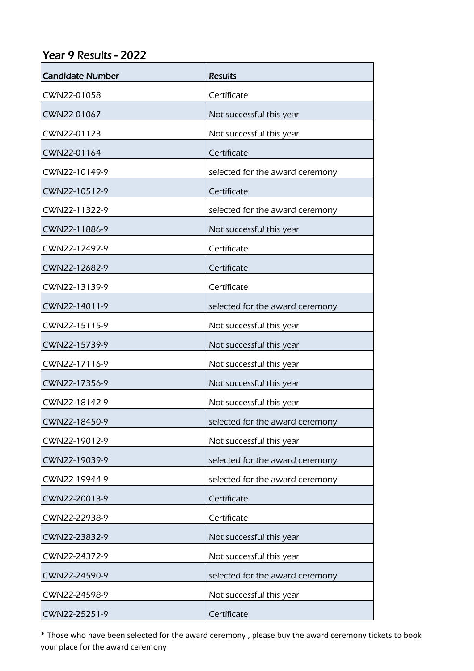## Year 9 Results - 2022

| <b>Candidate Number</b> | <b>Results</b>                  |
|-------------------------|---------------------------------|
| CWN22-01058             | Certificate                     |
| CWN22-01067             | Not successful this year        |
| CWN22-01123             | Not successful this year        |
| CWN22-01164             | Certificate                     |
| CWN22-10149-9           | selected for the award ceremony |
| CWN22-10512-9           | Certificate                     |
| CWN22-11322-9           | selected for the award ceremony |
| CWN22-11886-9           | Not successful this year        |
| CWN22-12492-9           | Certificate                     |
| CWN22-12682-9           | Certificate                     |
| CWN22-13139-9           | Certificate                     |
| CWN22-14011-9           | selected for the award ceremony |
| CWN22-15115-9           | Not successful this year        |
| CWN22-15739-9           | Not successful this year        |
| CWN22-17116-9           | Not successful this year        |
| CWN22-17356-9           | Not successful this year        |
| CWN22-18142-9           | Not successful this year        |
| CWN22-18450-9           | selected for the award ceremony |
| CWN22-19012-9           | Not successful this year        |
| CWN22-19039-9           | selected for the award ceremony |
| CWN22-19944-9           | selected for the award ceremony |
| CWN22-20013-9           | Certificate                     |
| CWN22-22938-9           | Certificate                     |
| CWN22-23832-9           | Not successful this year        |
| CWN22-24372-9           | Not successful this year        |
| CWN22-24590-9           | selected for the award ceremony |
| CWN22-24598-9           | Not successful this year        |
| CWN22-25251-9           | Certificate                     |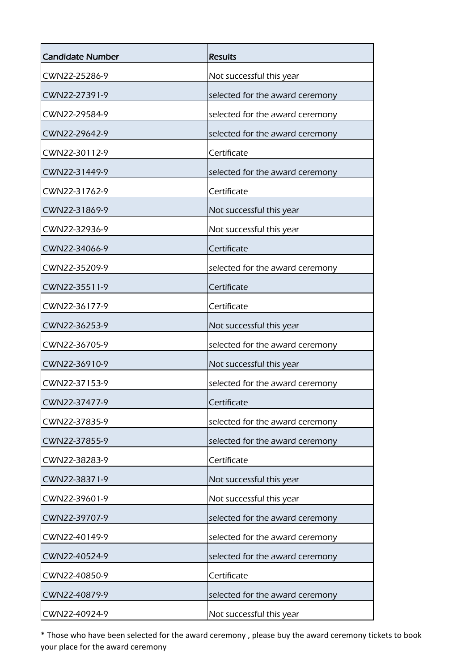| <b>Candidate Number</b> | <b>Results</b>                  |
|-------------------------|---------------------------------|
| CWN22-25286-9           | Not successful this year        |
| CWN22-27391-9           | selected for the award ceremony |
| CWN22-29584-9           | selected for the award ceremony |
| CWN22-29642-9           | selected for the award ceremony |
| CWN22-30112-9           | Certificate                     |
| CWN22-31449-9           | selected for the award ceremony |
| CWN22-31762-9           | Certificate                     |
| CWN22-31869-9           | Not successful this year        |
| CWN22-32936-9           | Not successful this year        |
| CWN22-34066-9           | Certificate                     |
| CWN22-35209-9           | selected for the award ceremony |
| CWN22-35511-9           | Certificate                     |
| CWN22-36177-9           | Certificate                     |
| CWN22-36253-9           | Not successful this year        |
| CWN22-36705-9           | selected for the award ceremony |
| CWN22-36910-9           | Not successful this year        |
| CWN22-37153-9           | selected for the award ceremony |
| CWN22-37477-9           | Certificate                     |
| CWN22-37835-9           | selected for the award ceremony |
| CWN22-37855-9           | selected for the award ceremony |
| CWN22-38283-9           | Certificate                     |
| CWN22-38371-9           | Not successful this year        |
| CWN22-39601-9           | Not successful this year        |
| CWN22-39707-9           | selected for the award ceremony |
| CWN22-40149-9           | selected for the award ceremony |
| CWN22-40524-9           | selected for the award ceremony |
| CWN22-40850-9           | Certificate                     |
| CWN22-40879-9           | selected for the award ceremony |
| CWN22-40924-9           | Not successful this year        |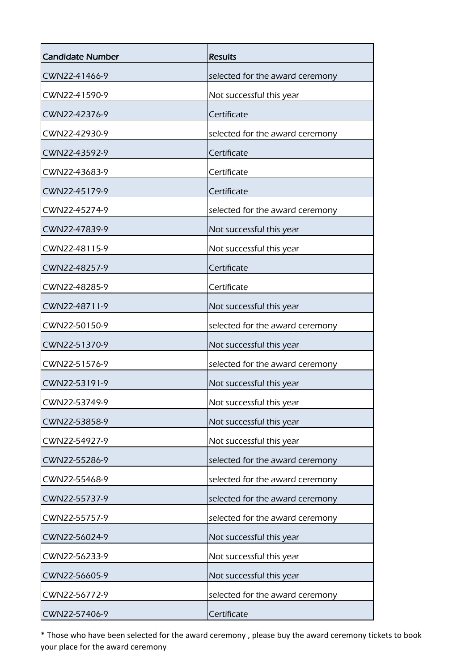| <b>Candidate Number</b> | <b>Results</b>                  |
|-------------------------|---------------------------------|
| CWN22-41466-9           | selected for the award ceremony |
| CWN22-41590-9           | Not successful this year        |
| CWN22-42376-9           | Certificate                     |
| CWN22-42930-9           | selected for the award ceremony |
| CWN22-43592-9           | Certificate                     |
| CWN22-43683-9           | Certificate                     |
| CWN22-45179-9           | Certificate                     |
| CWN22-45274-9           | selected for the award ceremony |
| CWN22-47839-9           | Not successful this year        |
| CWN22-48115-9           | Not successful this year        |
| CWN22-48257-9           | Certificate                     |
| CWN22-48285-9           | Certificate                     |
| CWN22-48711-9           | Not successful this year        |
| CWN22-50150-9           | selected for the award ceremony |
| CWN22-51370-9           | Not successful this year        |
| CWN22-51576-9           | selected for the award ceremony |
| CWN22-53191-9           | Not successful this year        |
| CWN22-53749-9           | Not successful this year        |
| CWN22-53858-9           | Not successful this year        |
| CWN22-54927-9           | Not successful this year        |
| CWN22-55286-9           | selected for the award ceremony |
| CWN22-55468-9           | selected for the award ceremony |
| CWN22-55737-9           | selected for the award ceremony |
| CWN22-55757-9           | selected for the award ceremony |
| CWN22-56024-9           | Not successful this year        |
| CWN22-56233-9           | Not successful this year        |
| CWN22-56605-9           | Not successful this year        |
| CWN22-56772-9           | selected for the award ceremony |
| CWN22-57406-9           | Certificate                     |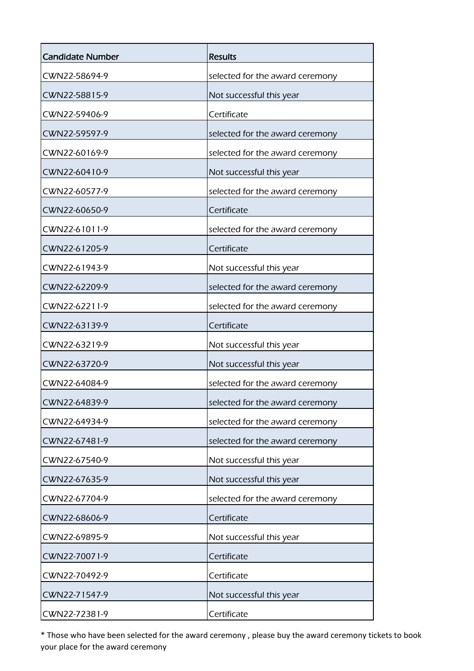| <b>Candidate Number</b> | <b>Results</b>                  |
|-------------------------|---------------------------------|
| CWN22-58694-9           | selected for the award ceremony |
| CWN22-58815-9           | Not successful this year        |
| CWN22-59406-9           | Certificate                     |
| CWN22-59597-9           | selected for the award ceremony |
| CWN22-60169-9           | selected for the award ceremony |
| CWN22-60410-9           | Not successful this year        |
| CWN22-60577-9           | selected for the award ceremony |
| CWN22-60650-9           | Certificate                     |
| CWN22-61011-9           | selected for the award ceremony |
| CWN22-61205-9           | Certificate                     |
| CWN22-61943-9           | Not successful this year        |
| CWN22-62209-9           | selected for the award ceremony |
| CWN22-62211-9           | selected for the award ceremony |
| CWN22-63139-9           | Certificate                     |
| CWN22-63219-9           | Not successful this year        |
| CWN22-63720-9           | Not successful this year        |
| CWN22-64084-9           | selected for the award ceremony |
| CWN22-64839-9           | selected for the award ceremony |
| CWN22-64934-9           | selected for the award ceremony |
| CWN22-67481-9           | selected for the award ceremony |
| CWN22-67540-9           | Not successful this year        |
| CWN22-67635-9           | Not successful this year        |
| CWN22-67704-9           | selected for the award ceremony |
| CWN22-68606-9           | Certificate                     |
| CWN22-69895-9           | Not successful this year        |
| CWN22-70071-9           | Certificate                     |
| CWN22-70492-9           | Certificate                     |
| CWN22-71547-9           | Not successful this year        |
| CWN22-72381-9           | Certificate                     |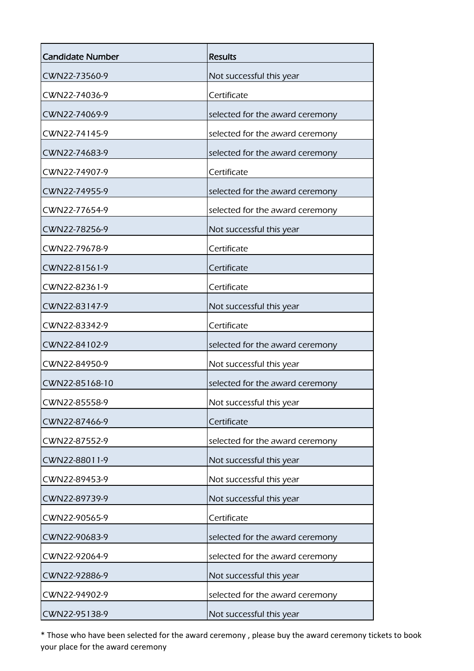| <b>Candidate Number</b> | <b>Results</b>                  |
|-------------------------|---------------------------------|
| CWN22-73560-9           | Not successful this year        |
| CWN22-74036-9           | Certificate                     |
| CWN22-74069-9           | selected for the award ceremony |
| CWN22-74145-9           | selected for the award ceremony |
| CWN22-74683-9           | selected for the award ceremony |
| CWN22-74907-9           | Certificate                     |
| CWN22-74955-9           | selected for the award ceremony |
| CWN22-77654-9           | selected for the award ceremony |
| CWN22-78256-9           | Not successful this year        |
| CWN22-79678-9           | Certificate                     |
| CWN22-81561-9           | Certificate                     |
| CWN22-82361-9           | Certificate                     |
| CWN22-83147-9           | Not successful this year        |
| CWN22-83342-9           | Certificate                     |
| CWN22-84102-9           | selected for the award ceremony |
| CWN22-84950-9           | Not successful this year        |
| CWN22-85168-10          | selected for the award ceremony |
| CWN22-85558-9           | Not successful this year        |
| CWN22-87466-9           | Certificate                     |
| CWN22-87552-9           | selected for the award ceremony |
| CWN22-88011-9           | Not successful this year        |
| CWN22-89453-9           | Not successful this year        |
| CWN22-89739-9           | Not successful this year        |
| CWN22-90565-9           | Certificate                     |
| CWN22-90683-9           | selected for the award ceremony |
| CWN22-92064-9           | selected for the award ceremony |
| CWN22-92886-9           | Not successful this year        |
| CWN22-94902-9           | selected for the award ceremony |
| CWN22-95138-9           | Not successful this year        |